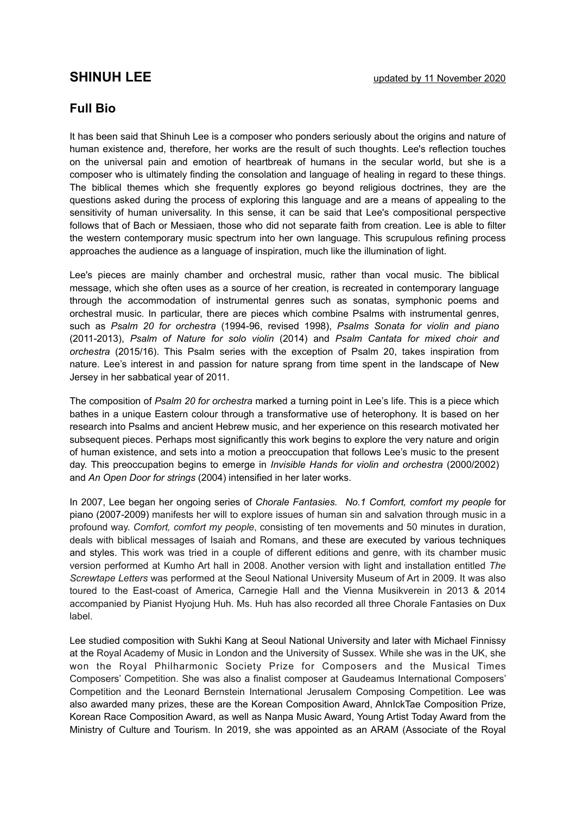## **Full Bio**

It has been said that Shinuh Lee is a composer who ponders seriously about the origins and nature of human existence and, therefore, her works are the result of such thoughts. Lee's reflection touches on the universal pain and emotion of heartbreak of humans in the secular world, but she is a composer who is ultimately finding the consolation and language of healing in regard to these things. The biblical themes which she frequently explores go beyond religious doctrines, they are the questions asked during the process of exploring this language and are a means of appealing to the sensitivity of human universality. In this sense, it can be said that Lee's compositional perspective follows that of Bach or Messiaen, those who did not separate faith from creation. Lee is able to filter the western contemporary music spectrum into her own language. This scrupulous refining process approaches the audience as a language of inspiration, much like the illumination of light.

Lee's pieces are mainly chamber and orchestral music, rather than vocal music. The biblical message, which she often uses as a source of her creation, is recreated in contemporary language through the accommodation of instrumental genres such as sonatas, symphonic poems and orchestral music. In particular, there are pieces which combine Psalms with instrumental genres, such as *Psalm 20 for orchestra* (1994-96, revised 1998), *Psalms Sonata for violin and piano* (2011-2013), *Psalm of Nature for solo violin* (2014) and *Psalm Cantata for mixed choir and orchestra* (2015/16). This Psalm series with the exception of Psalm 20, takes inspiration from nature. Lee's interest in and passion for nature sprang from time spent in the landscape of New Jersey in her sabbatical year of 2011.

The composition of *Psalm 20 for orchestra* marked a turning point in Lee's life. This is a piece which bathes in a unique Eastern colour through a transformative use of heterophony. It is based on her research into Psalms and ancient Hebrew music, and her experience on this research motivated her subsequent pieces. Perhaps most significantly this work begins to explore the very nature and origin of human existence, and sets into a motion a preoccupation that follows Lee's music to the present day. This preoccupation begins to emerge in *Invisible Hands for violin and orchestra* (2000/2002) and *An Open Door for strings* (2004) intensified in her later works.

In 2007, Lee began her ongoing series of *Chorale Fantasies. No.1 Comfort, comfort my people* for piano (2007-2009) manifests her will to explore issues of human sin and salvation through music in a profound way. *Comfort, comfort my people*, consisting of ten movements and 50 minutes in duration, deals with biblical messages of Isaiah and Romans, and these are executed by various techniques and styles. This work was tried in a couple of different editions and genre, with its chamber music version performed at Kumho Art hall in 2008. Another version with light and installation entitled *The Screwtape Letters* was performed at the Seoul National University Museum of Art in 2009. It was also toured to the East-coast of America, Carnegie Hall and the Vienna Musikverein in 2013 & 2014 accompanied by Pianist Hyojung Huh. Ms. Huh has also recorded all three Chorale Fantasies on Dux label.

Lee studied composition with Sukhi Kang at Seoul National University and later with Michael Finnissy at the Royal Academy of Music in London and the University of Sussex. While she was in the UK, she won the Royal Philharmonic Society Prize for Composers and the Musical Times Composers' Competition. She was also a finalist composer at Gaudeamus International Composers' Competition and the Leonard Bernstein International Jerusalem Composing Competition. Lee was also awarded many prizes, these are the Korean Composition Award, AhnIckTae Composition Prize, Korean Race Composition Award, as well as Nanpa Music Award, Young Artist Today Award from the Ministry of Culture and Tourism. In 2019, she was appointed as an ARAM (Associate of the Royal